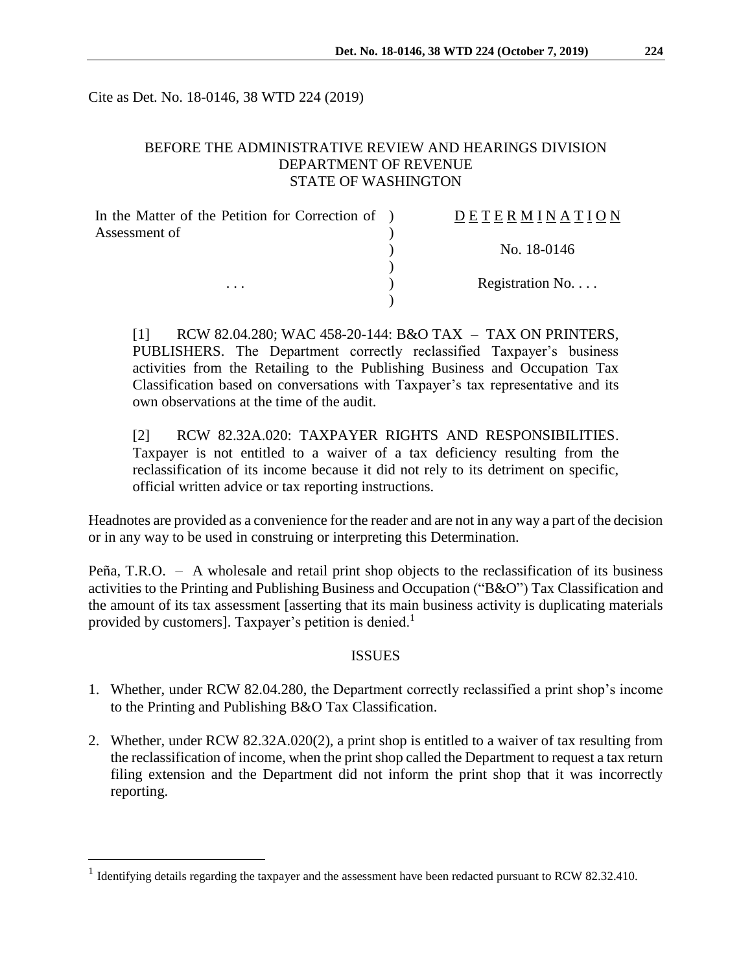Cite as Det. No. 18-0146, 38 WTD 224 (2019)

## BEFORE THE ADMINISTRATIVE REVIEW AND HEARINGS DIVISION DEPARTMENT OF REVENUE STATE OF WASHINGTON

| In the Matter of the Petition for Correction of ) | <b>DETERMINATION</b>     |
|---------------------------------------------------|--------------------------|
| Assessment of                                     |                          |
| $\cdots$                                          | No. 18-0146              |
|                                                   | Registration No. $\dots$ |
|                                                   |                          |

[1] RCW 82.04.280; WAC 458-20-144: B&O TAX – TAX ON PRINTERS, PUBLISHERS. The Department correctly reclassified Taxpayer's business activities from the Retailing to the Publishing Business and Occupation Tax Classification based on conversations with Taxpayer's tax representative and its own observations at the time of the audit.

[2] RCW 82.32A.020: TAXPAYER RIGHTS AND RESPONSIBILITIES. Taxpayer is not entitled to a waiver of a tax deficiency resulting from the reclassification of its income because it did not rely to its detriment on specific, official written advice or tax reporting instructions.

Headnotes are provided as a convenience for the reader and are not in any way a part of the decision or in any way to be used in construing or interpreting this Determination.

Peña, T.R.O. – A wholesale and retail print shop objects to the reclassification of its business activities to the Printing and Publishing Business and Occupation ("B&O") Tax Classification and the amount of its tax assessment [asserting that its main business activity is duplicating materials provided by customers]. Taxpayer's petition is denied.<sup>1</sup>

#### ISSUES

- 1. Whether, under RCW 82.04.280, the Department correctly reclassified a print shop's income to the Printing and Publishing B&O Tax Classification.
- 2. Whether, under RCW 82.32A.020(2), a print shop is entitled to a waiver of tax resulting from the reclassification of income, when the print shop called the Department to request a tax return filing extension and the Department did not inform the print shop that it was incorrectly reporting.

 $\overline{a}$ 

<sup>&</sup>lt;sup>1</sup> Identifying details regarding the taxpayer and the assessment have been redacted pursuant to RCW 82.32.410.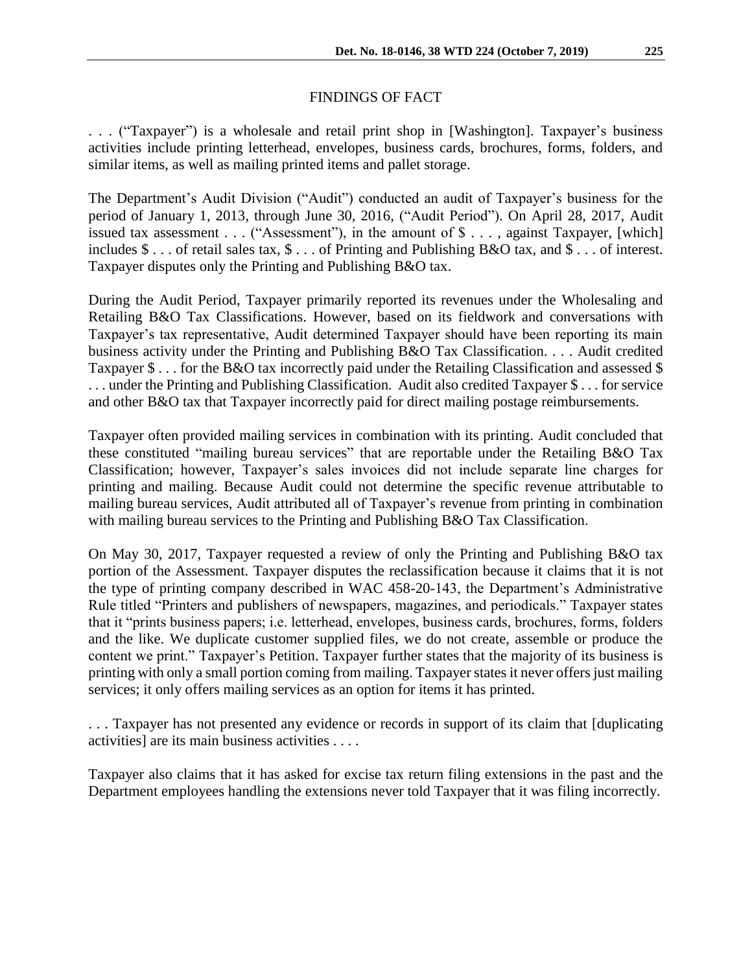### FINDINGS OF FACT

. . . ("Taxpayer") is a wholesale and retail print shop in [Washington]. Taxpayer's business activities include printing letterhead, envelopes, business cards, brochures, forms, folders, and similar items, as well as mailing printed items and pallet storage.

The Department's Audit Division ("Audit") conducted an audit of Taxpayer's business for the period of January 1, 2013, through June 30, 2016, ("Audit Period"). On April 28, 2017, Audit issued tax assessment . . . ("Assessment"), in the amount of \$ . . . , against Taxpayer, [which] includes \$ . . . of retail sales tax, \$ . . . of Printing and Publishing B&O tax, and \$ . . . of interest. Taxpayer disputes only the Printing and Publishing B&O tax.

During the Audit Period, Taxpayer primarily reported its revenues under the Wholesaling and Retailing B&O Tax Classifications. However, based on its fieldwork and conversations with Taxpayer's tax representative, Audit determined Taxpayer should have been reporting its main business activity under the Printing and Publishing B&O Tax Classification. . . . Audit credited Taxpayer \$ . . . for the B&O tax incorrectly paid under the Retailing Classification and assessed \$ . . . under the Printing and Publishing Classification. Audit also credited Taxpayer \$ . . . for service and other B&O tax that Taxpayer incorrectly paid for direct mailing postage reimbursements.

Taxpayer often provided mailing services in combination with its printing. Audit concluded that these constituted "mailing bureau services" that are reportable under the Retailing B&O Tax Classification; however, Taxpayer's sales invoices did not include separate line charges for printing and mailing. Because Audit could not determine the specific revenue attributable to mailing bureau services, Audit attributed all of Taxpayer's revenue from printing in combination with mailing bureau services to the Printing and Publishing B&O Tax Classification.

On May 30, 2017, Taxpayer requested a review of only the Printing and Publishing B&O tax portion of the Assessment. Taxpayer disputes the reclassification because it claims that it is not the type of printing company described in WAC 458-20-143, the Department's Administrative Rule titled "Printers and publishers of newspapers, magazines, and periodicals." Taxpayer states that it "prints business papers; i.e. letterhead, envelopes, business cards, brochures, forms, folders and the like. We duplicate customer supplied files, we do not create, assemble or produce the content we print." Taxpayer's Petition. Taxpayer further states that the majority of its business is printing with only a small portion coming from mailing. Taxpayer states it never offers just mailing services; it only offers mailing services as an option for items it has printed.

. . . Taxpayer has not presented any evidence or records in support of its claim that [duplicating activities] are its main business activities . . . .

Taxpayer also claims that it has asked for excise tax return filing extensions in the past and the Department employees handling the extensions never told Taxpayer that it was filing incorrectly.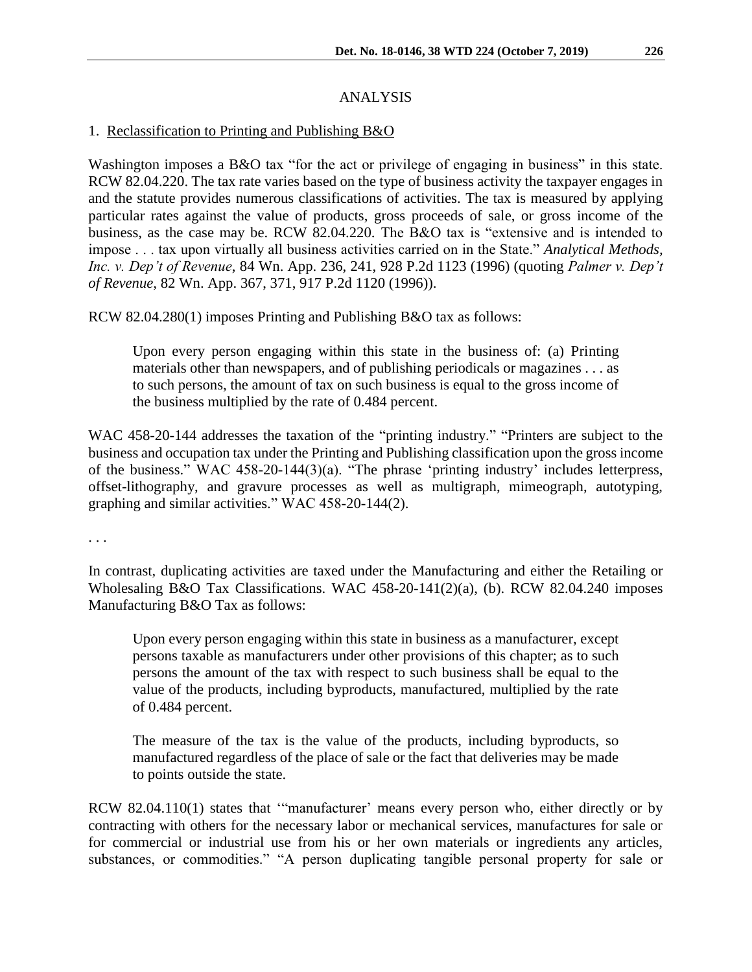# ANALYSIS

# 1. Reclassification to Printing and Publishing B&O

Washington imposes a B&O tax "for the act or privilege of engaging in business" in this state. RCW 82.04.220. The tax rate varies based on the type of business activity the taxpayer engages in and the statute provides numerous classifications of activities. The tax is measured by applying particular rates against the value of products, gross proceeds of sale, or gross income of the business, as the case may be. RCW 82.04.220. The B&O tax is "extensive and is intended to impose . . . tax upon virtually all business activities carried on in the State." *Analytical Methods, Inc. v. Dep't of Revenue*, 84 Wn. App. 236, 241, 928 P.2d 1123 (1996) (quoting *Palmer v. Dep't of Revenue*, 82 Wn. App. 367, 371, 917 P.2d 1120 (1996)).

RCW 82.04.280(1) imposes Printing and Publishing B&O tax as follows:

Upon every person engaging within this state in the business of: (a) Printing materials other than newspapers, and of publishing periodicals or magazines . . . as to such persons, the amount of tax on such business is equal to the gross income of the business multiplied by the rate of 0.484 percent.

WAC 458-20-144 addresses the taxation of the "printing industry." "Printers are subject to the business and occupation tax under the Printing and Publishing classification upon the gross income of the business." WAC 458-20-144(3)(a). "The phrase 'printing industry' includes letterpress, offset-lithography, and gravure processes as well as multigraph, mimeograph, autotyping, graphing and similar activities." WAC 458-20-144(2).

. . .

In contrast, duplicating activities are taxed under the Manufacturing and either the Retailing or Wholesaling B&O Tax Classifications. WAC 458-20-141(2)(a), (b). RCW 82.04.240 imposes Manufacturing B&O Tax as follows:

Upon every person engaging within this state in business as a manufacturer, except persons taxable as manufacturers under other provisions of this chapter; as to such persons the amount of the tax with respect to such business shall be equal to the value of the products, including byproducts, manufactured, multiplied by the rate of 0.484 percent.

The measure of the tax is the value of the products, including byproducts, so manufactured regardless of the place of sale or the fact that deliveries may be made to points outside the state.

RCW 82.04.110(1) states that '"manufacturer' means every person who, either directly or by contracting with others for the necessary labor or mechanical services, manufactures for sale or for commercial or industrial use from his or her own materials or ingredients any articles, substances, or commodities." "A person duplicating tangible personal property for sale or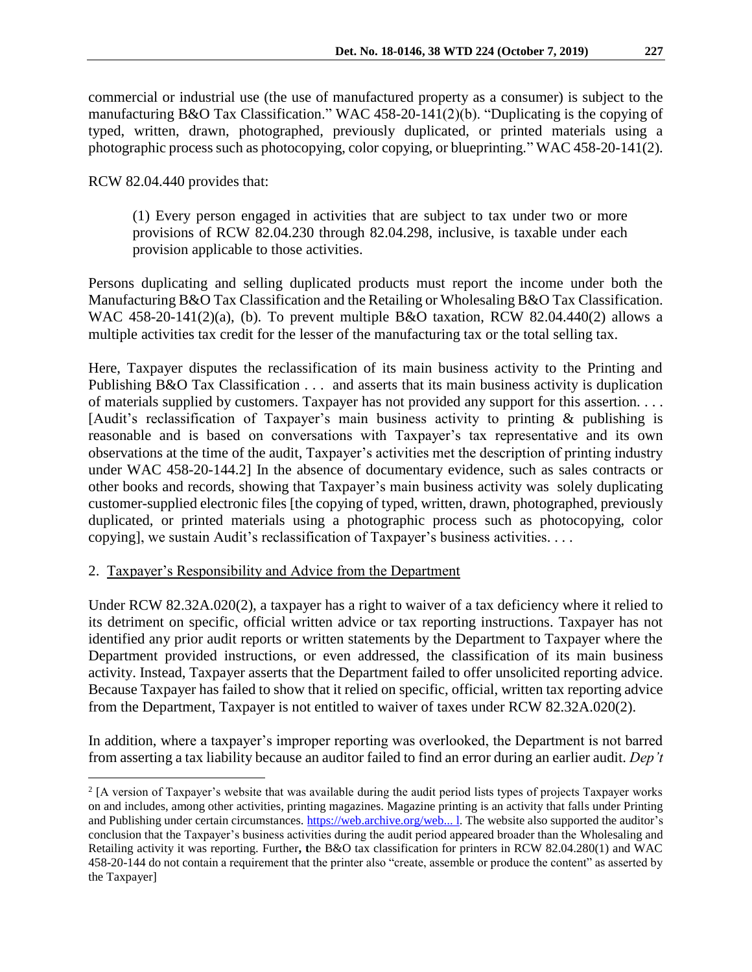commercial or industrial use (the use of manufactured property as a consumer) is subject to the manufacturing B&O Tax Classification." WAC 458-20-141(2)(b). "Duplicating is the copying of typed, written, drawn, photographed, previously duplicated, or printed materials using a photographic process such as photocopying, color copying, or blueprinting." WAC 458-20-141(2).

RCW 82.04.440 provides that:

(1) Every person engaged in activities that are subject to tax under two or more provisions of RCW 82.04.230 through 82.04.298, inclusive, is taxable under each provision applicable to those activities.

Persons duplicating and selling duplicated products must report the income under both the Manufacturing B&O Tax Classification and the Retailing or Wholesaling B&O Tax Classification. WAC 458-20-141(2)(a), (b). To prevent multiple B&O taxation, RCW 82.04.440(2) allows a multiple activities tax credit for the lesser of the manufacturing tax or the total selling tax.

Here, Taxpayer disputes the reclassification of its main business activity to the Printing and Publishing B&O Tax Classification . . . and asserts that its main business activity is duplication of materials supplied by customers. Taxpayer has not provided any support for this assertion. . . . [Audit's reclassification of Taxpayer's main business activity to printing & publishing is reasonable and is based on conversations with Taxpayer's tax representative and its own observations at the time of the audit, Taxpayer's activities met the description of printing industry under WAC 458-20-144.2] In the absence of documentary evidence, such as sales contracts or other books and records, showing that Taxpayer's main business activity was solely duplicating customer-supplied electronic files [the copying of typed, written, drawn, photographed, previously duplicated, or printed materials using a photographic process such as photocopying, color copying], we sustain Audit's reclassification of Taxpayer's business activities. . . .

### 2. Taxpayer's Responsibility and Advice from the Department

Under RCW 82.32A.020(2), a taxpayer has a right to waiver of a tax deficiency where it relied to its detriment on specific, official written advice or tax reporting instructions. Taxpayer has not identified any prior audit reports or written statements by the Department to Taxpayer where the Department provided instructions, or even addressed, the classification of its main business activity. Instead, Taxpayer asserts that the Department failed to offer unsolicited reporting advice. Because Taxpayer has failed to show that it relied on specific, official, written tax reporting advice from the Department, Taxpayer is not entitled to waiver of taxes under RCW 82.32A.020(2).

In addition, where a taxpayer's improper reporting was overlooked, the Department is not barred from asserting a tax liability because an auditor failed to find an error during an earlier audit. *Dep't* 

 $\overline{a}$ <sup>2</sup> [A version of Taxpayer's website that was available during the audit period lists types of projects Taxpayer works on and includes, among other activities, printing magazines. Magazine printing is an activity that falls under Printing and Publishing under certain circumstances. [https://web.archive.org/web...](https://web.archive.org/web...%20l) l. The website also supported the auditor's conclusion that the Taxpayer's business activities during the audit period appeared broader than the Wholesaling and Retailing activity it was reporting. Further**, t**he B&O tax classification for printers in RCW 82.04.280(1) and WAC 458-20-144 do not contain a requirement that the printer also "create, assemble or produce the content" as asserted by the Taxpayer]